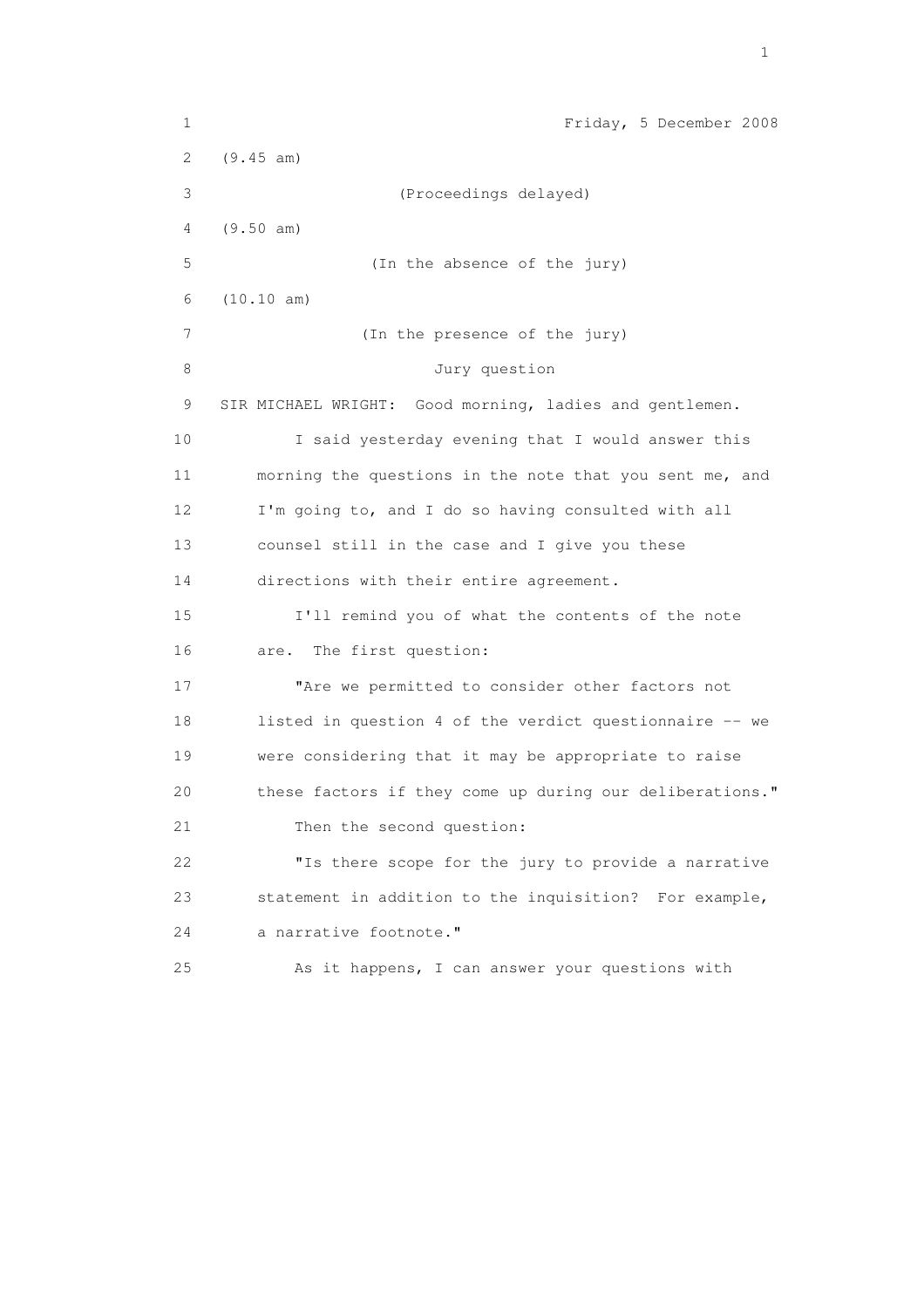1 Friday, 5 December 2008 2 (9.45 am) 3 (Proceedings delayed) 4 (9.50 am) 5 (In the absence of the jury) 6 (10.10 am) 7 (In the presence of the jury) 8 Jury question 9 SIR MICHAEL WRIGHT: Good morning, ladies and gentlemen. 10 I said yesterday evening that I would answer this 11 morning the questions in the note that you sent me, and 12 I'm going to, and I do so having consulted with all 13 counsel still in the case and I give you these 14 directions with their entire agreement. 15 I'll remind you of what the contents of the note 16 are. The first question: 17 Thre we permitted to consider other factors not 18 listed in question 4 of the verdict questionnaire -- we 19 were considering that it may be appropriate to raise 20 these factors if they come up during our deliberations." 21 Then the second question: 22 "Is there scope for the jury to provide a narrative 23 statement in addition to the inquisition? For example, 24 a narrative footnote." 25 As it happens, I can answer your questions with

the contract of the contract of the contract of the contract of the contract of the contract of the contract of the contract of the contract of the contract of the contract of the contract of the contract of the contract o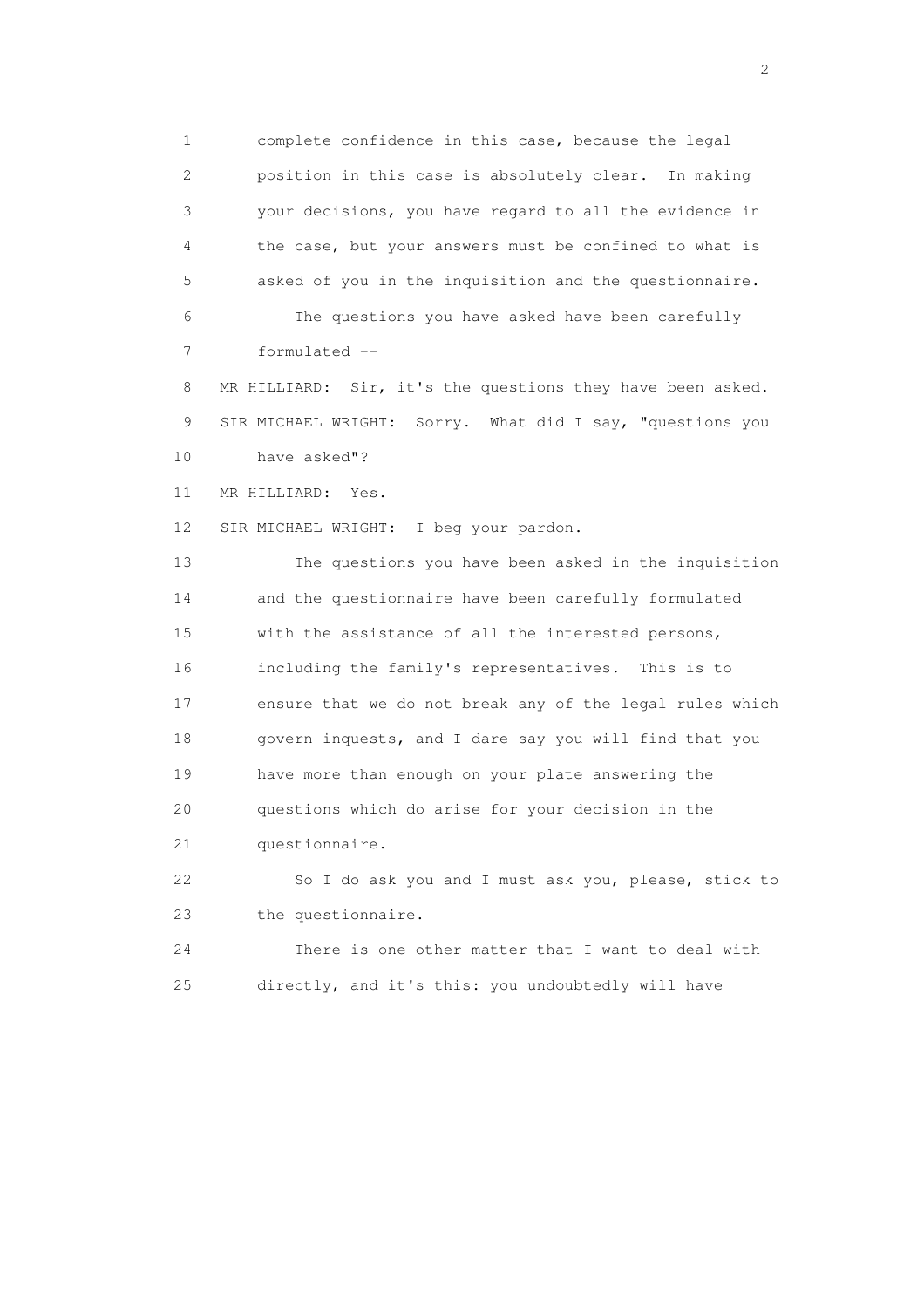1 complete confidence in this case, because the legal 2 position in this case is absolutely clear. In making 3 your decisions, you have regard to all the evidence in 4 the case, but your answers must be confined to what is 5 asked of you in the inquisition and the questionnaire. 6 The questions you have asked have been carefully

7 formulated --

 8 MR HILLIARD: Sir, it's the questions they have been asked. 9 SIR MICHAEL WRIGHT: Sorry. What did I say, "questions you 10 have asked"?

11 MR HILLIARD: Yes.

12 SIR MICHAEL WRIGHT: I beg your pardon.

 13 The questions you have been asked in the inquisition 14 and the questionnaire have been carefully formulated 15 with the assistance of all the interested persons, 16 including the family's representatives. This is to 17 ensure that we do not break any of the legal rules which 18 govern inquests, and I dare say you will find that you 19 have more than enough on your plate answering the 20 questions which do arise for your decision in the 21 questionnaire.

 22 So I do ask you and I must ask you, please, stick to 23 the questionnaire.

 24 There is one other matter that I want to deal with 25 directly, and it's this: you undoubtedly will have

 $\overline{2}$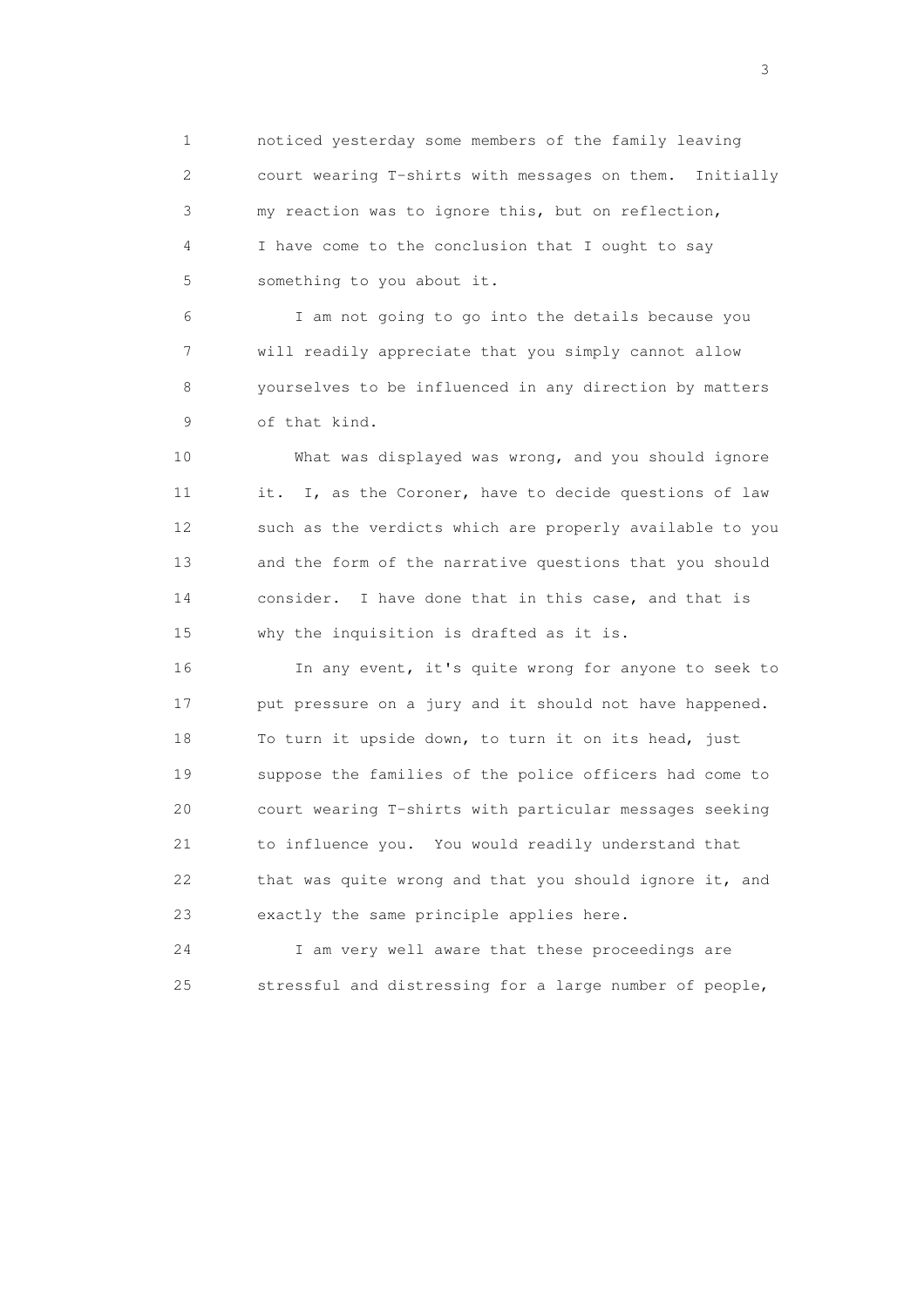1 noticed yesterday some members of the family leaving 2 court wearing T-shirts with messages on them. Initially 3 my reaction was to ignore this, but on reflection, 4 I have come to the conclusion that I ought to say 5 something to you about it.

 6 I am not going to go into the details because you 7 will readily appreciate that you simply cannot allow 8 yourselves to be influenced in any direction by matters 9 of that kind.

 10 What was displayed was wrong, and you should ignore 11 it. I, as the Coroner, have to decide questions of law 12 such as the verdicts which are properly available to you 13 and the form of the narrative questions that you should 14 consider. I have done that in this case, and that is 15 why the inquisition is drafted as it is.

 16 In any event, it's quite wrong for anyone to seek to 17 put pressure on a jury and it should not have happened. 18 To turn it upside down, to turn it on its head, just 19 suppose the families of the police officers had come to 20 court wearing T-shirts with particular messages seeking 21 to influence you. You would readily understand that 22 that was quite wrong and that you should ignore it, and 23 exactly the same principle applies here.

 24 I am very well aware that these proceedings are 25 stressful and distressing for a large number of people,

 $\sim$  3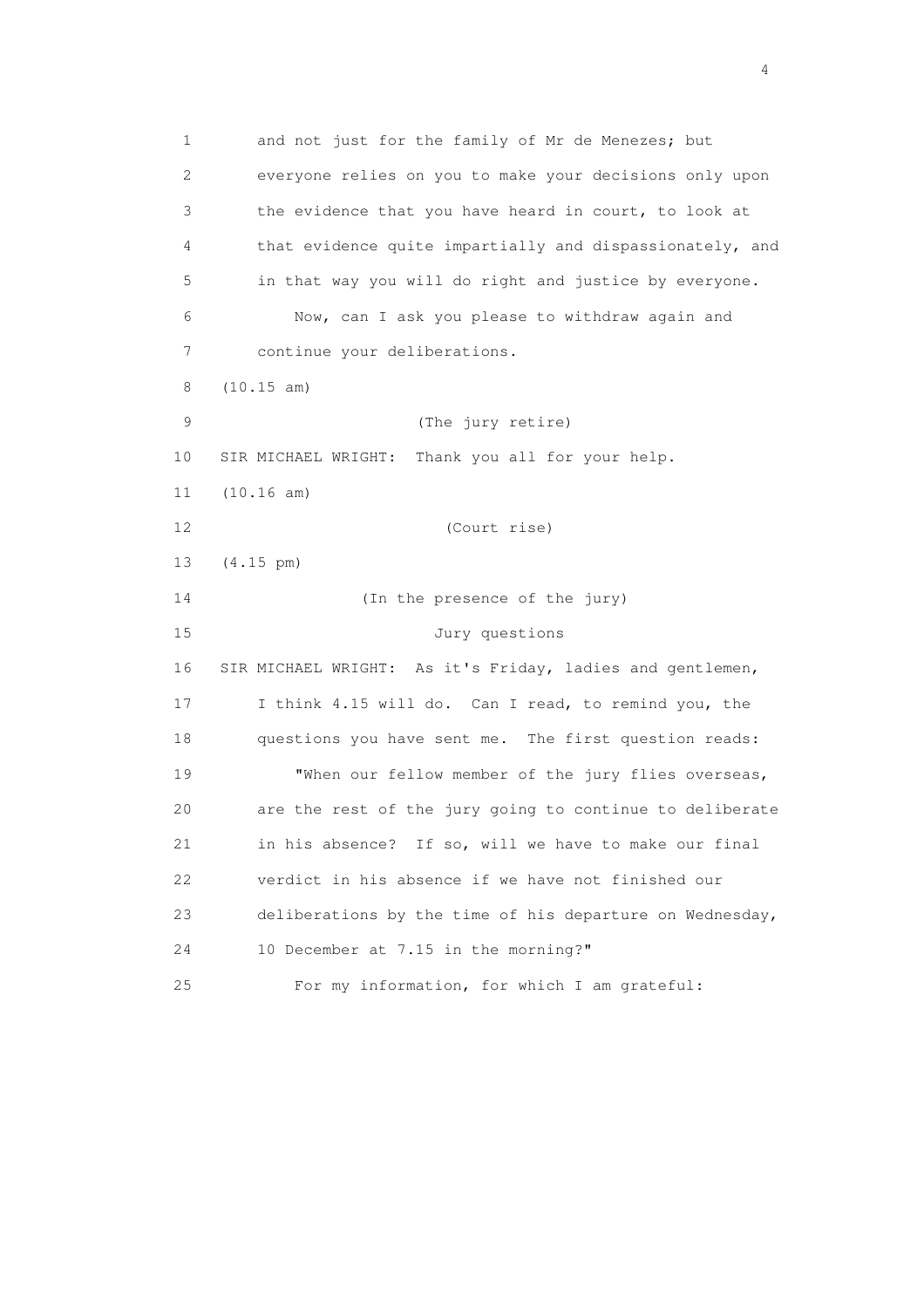1 and not just for the family of Mr de Menezes; but 2 everyone relies on you to make your decisions only upon 3 the evidence that you have heard in court, to look at 4 that evidence quite impartially and dispassionately, and 5 in that way you will do right and justice by everyone. 6 Now, can I ask you please to withdraw again and 7 continue your deliberations. 8 (10.15 am) 9 (The jury retire) 10 SIR MICHAEL WRIGHT: Thank you all for your help. 11 (10.16 am) 12 (Court rise) 13 (4.15 pm) 14 (In the presence of the jury) 15 Jury questions 16 SIR MICHAEL WRIGHT: As it's Friday, ladies and gentlemen, 17 I think 4.15 will do. Can I read, to remind you, the 18 questions you have sent me. The first question reads: 19 "When our fellow member of the jury flies overseas, 20 are the rest of the jury going to continue to deliberate 21 in his absence? If so, will we have to make our final 22 verdict in his absence if we have not finished our 23 deliberations by the time of his departure on Wednesday, 24 10 December at 7.15 in the morning?" 25 For my information, for which I am grateful:

4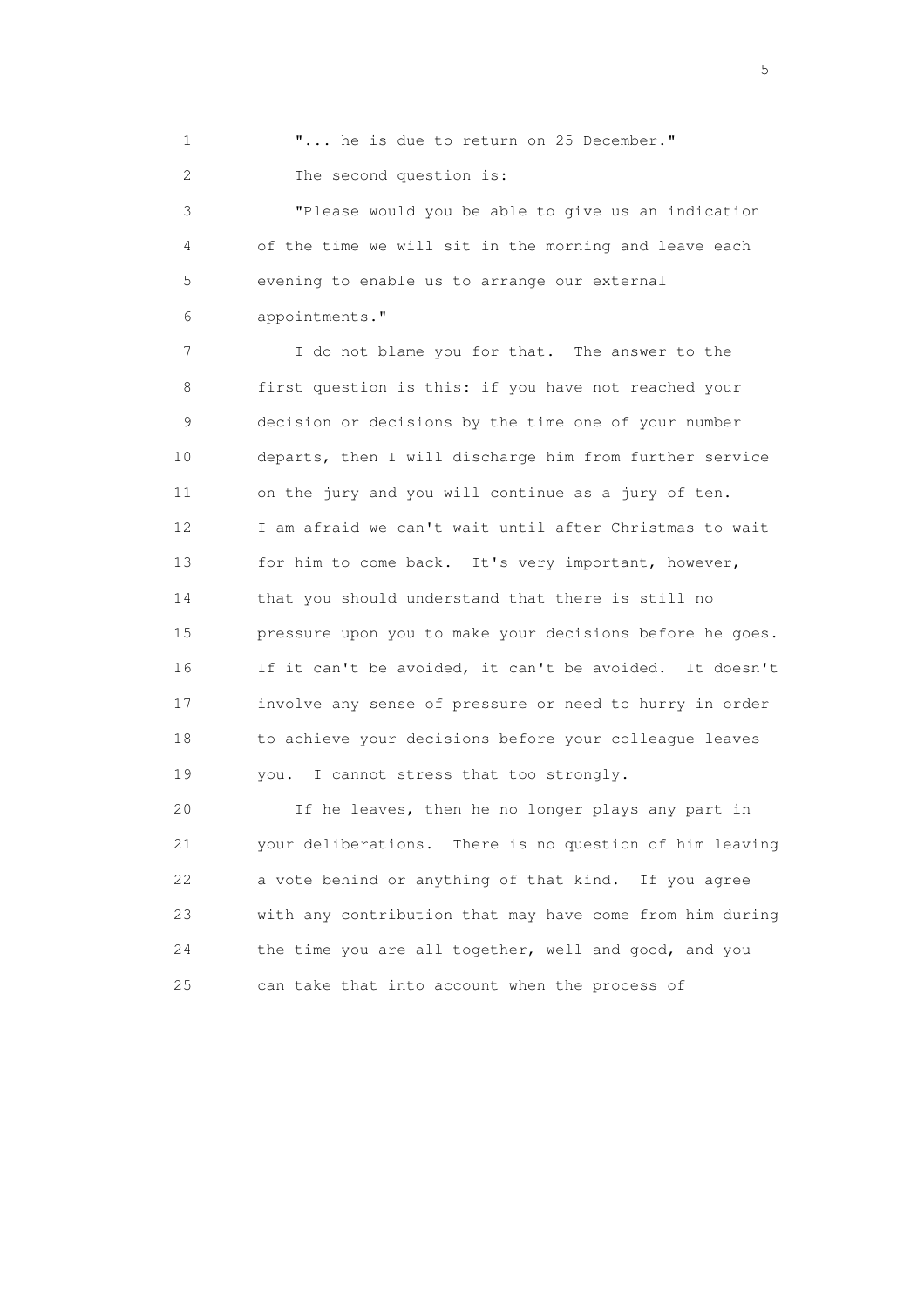1 **"...** he is due to return on 25 December." 2 The second question is:

 3 "Please would you be able to give us an indication 4 of the time we will sit in the morning and leave each 5 evening to enable us to arrange our external 6 appointments."

 7 I do not blame you for that. The answer to the 8 first question is this: if you have not reached your 9 decision or decisions by the time one of your number 10 departs, then I will discharge him from further service 11 on the jury and you will continue as a jury of ten. 12 I am afraid we can't wait until after Christmas to wait 13 for him to come back. It's very important, however, 14 that you should understand that there is still no 15 pressure upon you to make your decisions before he goes. 16 If it can't be avoided, it can't be avoided. It doesn't 17 involve any sense of pressure or need to hurry in order 18 to achieve your decisions before your colleague leaves 19 you. I cannot stress that too strongly.

 20 If he leaves, then he no longer plays any part in 21 your deliberations. There is no question of him leaving 22 a vote behind or anything of that kind. If you agree 23 with any contribution that may have come from him during 24 the time you are all together, well and good, and you 25 can take that into account when the process of

 $\sim$  5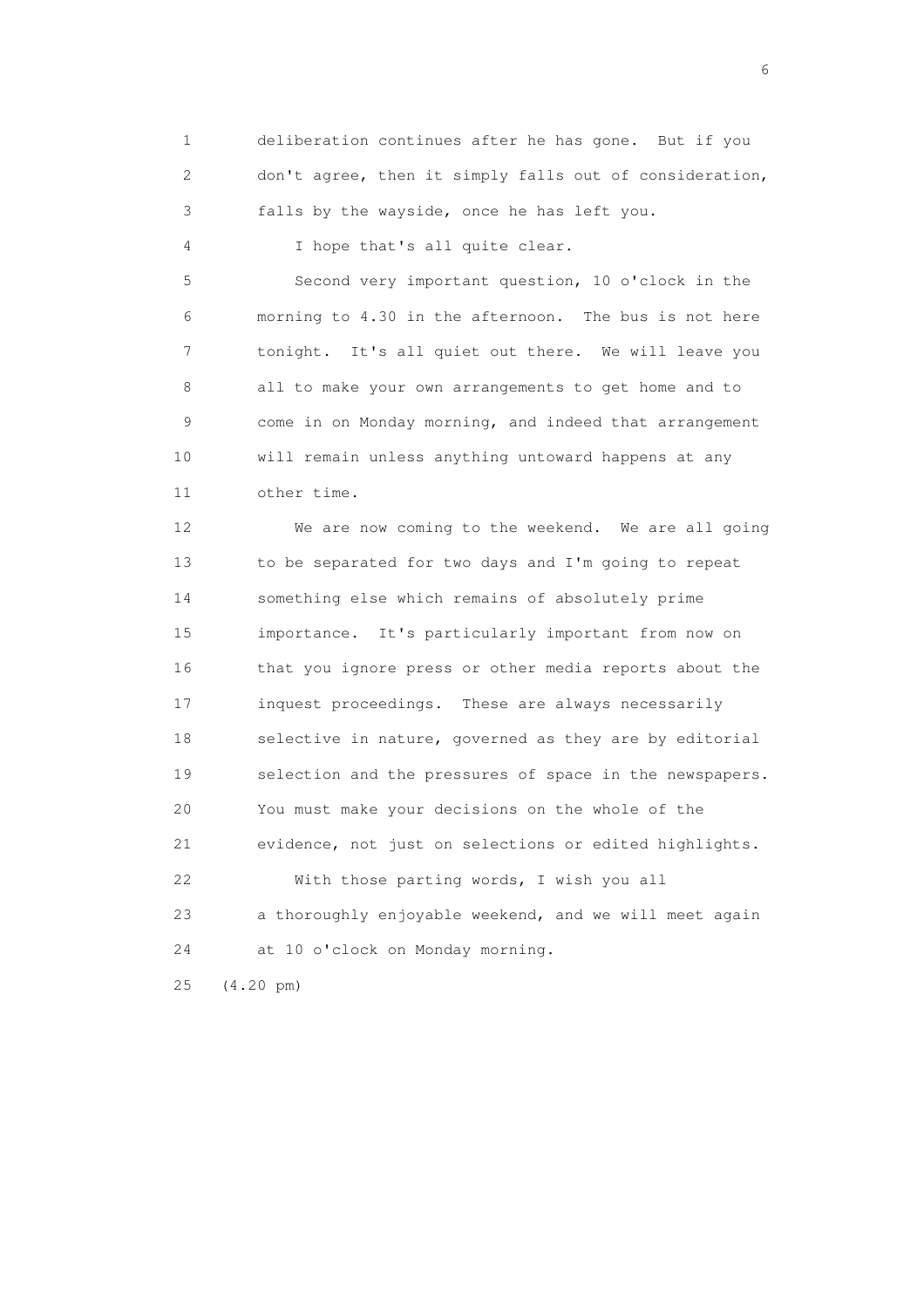1 deliberation continues after he has gone. But if you 2 don't agree, then it simply falls out of consideration, 3 falls by the wayside, once he has left you.

4 I hope that's all quite clear.

 5 Second very important question, 10 o'clock in the 6 morning to 4.30 in the afternoon. The bus is not here 7 tonight. It's all quiet out there. We will leave you 8 all to make your own arrangements to get home and to 9 come in on Monday morning, and indeed that arrangement 10 will remain unless anything untoward happens at any 11 other time.

 12 We are now coming to the weekend. We are all going 13 to be separated for two days and I'm going to repeat 14 something else which remains of absolutely prime 15 importance. It's particularly important from now on 16 that you ignore press or other media reports about the 17 inquest proceedings. These are always necessarily 18 selective in nature, governed as they are by editorial 19 selection and the pressures of space in the newspapers. 20 You must make your decisions on the whole of the 21 evidence, not just on selections or edited highlights. 22 With those parting words, I wish you all 23 a thoroughly enjoyable weekend, and we will meet again 24 at 10 o'clock on Monday morning. 25 (4.20 pm)

 $\sim$  6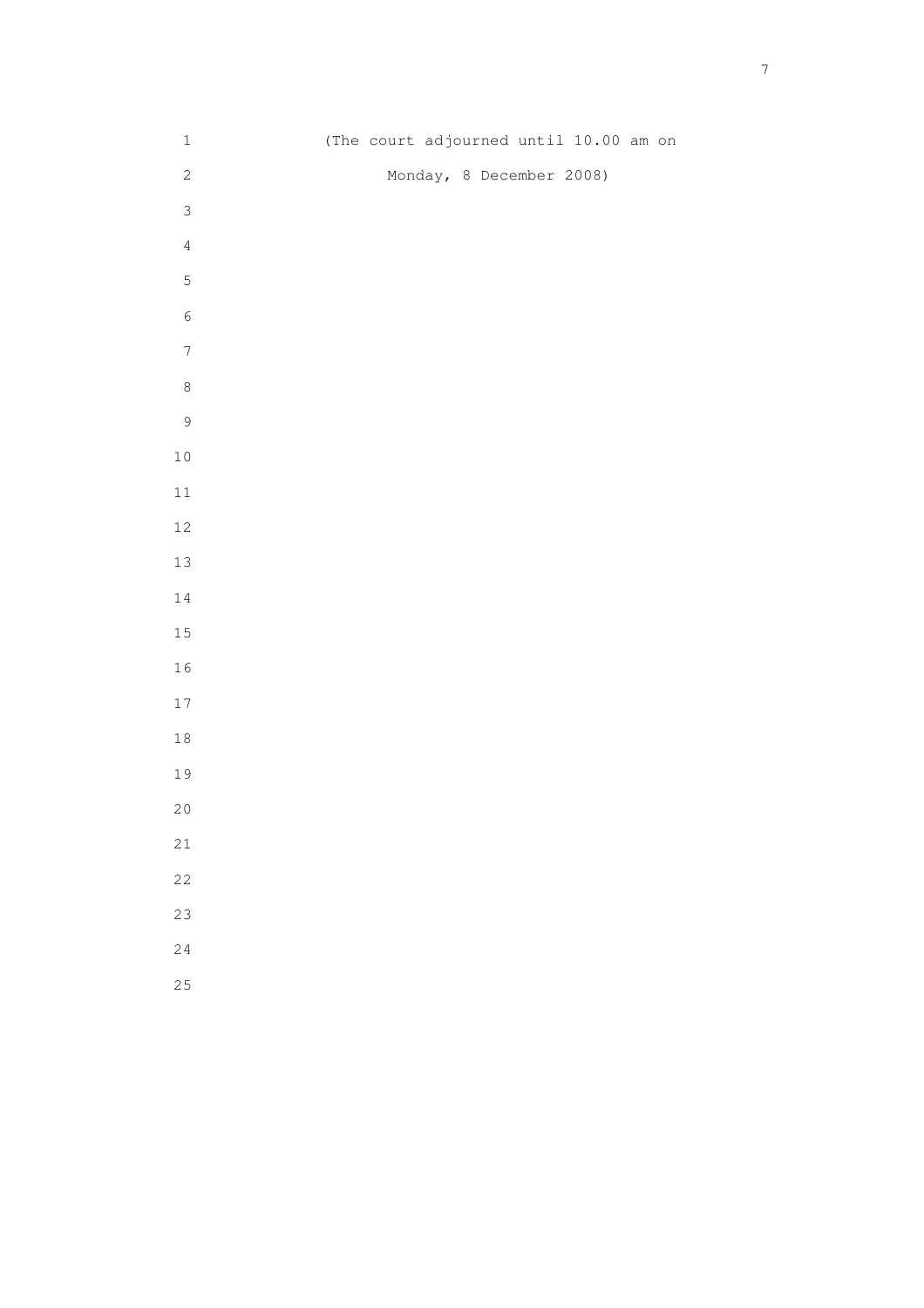| $1\,$            | (The court adjourned until 10.00 am on |
|------------------|----------------------------------------|
| $\sqrt{2}$       | Monday, 8 December 2008)               |
| $\mathsf 3$      |                                        |
| $\sqrt{4}$       |                                        |
| 5                |                                        |
| $\epsilon$       |                                        |
| $\boldsymbol{7}$ |                                        |
| $\,8\,$          |                                        |
| $\mathsf 9$      |                                        |
| $1\,0$           |                                        |
| $11\,$           |                                        |
| $12\,$           |                                        |
| $13\,$           |                                        |
| 14               |                                        |
| 15               |                                        |
| $1\,6$           |                                        |
| $1\,7$           |                                        |
| $1\,8$           |                                        |
| 19               |                                        |
| $20$             |                                        |
| $21\,$           |                                        |
| 22               |                                        |
| 23               |                                        |
| 24               |                                        |
| 25               |                                        |